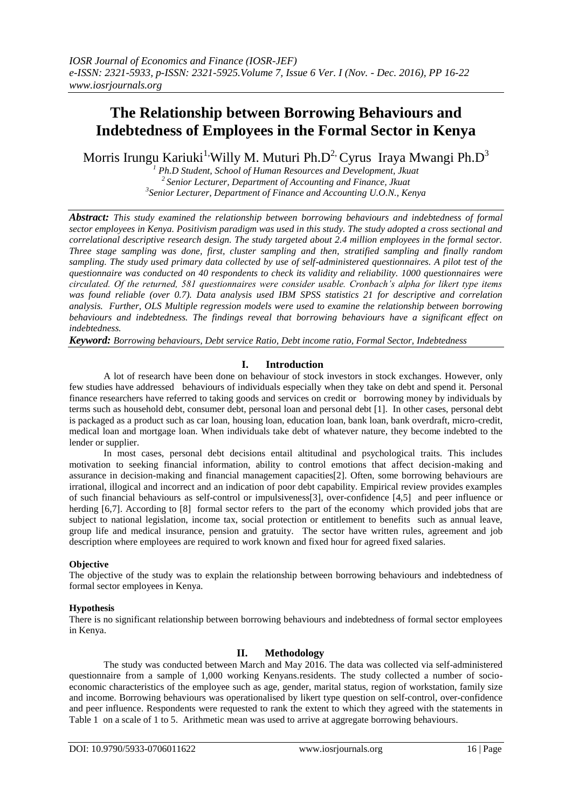# **The Relationship between Borrowing Behaviours and Indebtedness of Employees in the Formal Sector in Kenya**

Morris Irungu Kariuki<sup>1,</sup>Willy M. Muturi Ph.D<sup>2,</sup> Cyrus Iraya Mwangi Ph.D<sup>3</sup>

*<sup>1</sup> Ph.D Student, School of Human Resources and Development, Jkuat <sup>2</sup>Senior Lecturer, Department of Accounting and Finance, Jkuat 3 Senior Lecturer, Department of Finance and Accounting U.O.N., Kenya*

*Abstract: This study examined the relationship between borrowing behaviours and indebtedness of formal sector employees in Kenya. Positivism paradigm was used in this study. The study adopted a cross sectional and correlational descriptive research design. The study targeted about 2.4 million employees in the formal sector. Three stage sampling was done, first, cluster sampling and then, stratified sampling and finally random sampling. The study used primary data collected by use of self-administered questionnaires. A pilot test of the questionnaire was conducted on 40 respondents to check its validity and reliability. 1000 questionnaires were circulated. Of the returned, 581 questionnaires were consider usable. Cronbach's alpha for likert type items was found reliable (over 0.7). Data analysis used IBM SPSS statistics 21 for descriptive and correlation analysis. Further, OLS Multiple regression models were used to examine the relationship between borrowing behaviours and indebtedness. The findings reveal that borrowing behaviours have a significant effect on indebtedness.* 

*Keyword: Borrowing behaviours, Debt service Ratio, Debt income ratio, Formal Sector, Indebtedness*

## **I. Introduction**

A lot of research have been done on behaviour of stock investors in stock exchanges. However, only few studies have addressed behaviours of individuals especially when they take on debt and spend it. Personal finance researchers have referred to taking goods and services on credit or borrowing money by individuals by terms such as household debt, consumer debt, personal loan and personal debt [1]. In other cases, personal debt is packaged as a product such as car loan, housing loan, education loan, bank loan, bank overdraft, micro-credit, medical loan and mortgage loan. When individuals take debt of whatever nature, they become indebted to the lender or supplier.

In most cases, personal debt decisions entail altitudinal and psychological traits. This includes motivation to seeking financial information, ability to control emotions that affect decision-making and assurance in decision-making and financial management capacities[2]. Often, some borrowing behaviours are irrational, illogical and incorrect and an indication of poor debt capability. Empirical review provides examples of such financial behaviours as self-control or impulsiveness[3], over-confidence [4,5] and peer influence or herding [6,7]. According to [8] formal sector refers to the part of the economy which provided jobs that are subject to national legislation, income tax, social protection or entitlement to benefits such as annual leave, group life and medical insurance, pension and gratuity. The sector have written rules, agreement and job description where employees are required to work known and fixed hour for agreed fixed salaries.

#### **Objective**

The objective of the study was to explain the relationship between borrowing behaviours and indebtedness of formal sector employees in Kenya.

#### **Hypothesis**

There is no significant relationship between borrowing behaviours and indebtedness of formal sector employees in Kenya.

## **II. Methodology**

The study was conducted between March and May 2016. The data was collected via self-administered questionnaire from a sample of 1,000 working Kenyans.residents. The study collected a number of socioeconomic characteristics of the employee such as age, gender, marital status, region of workstation, family size and income. Borrowing behaviours was operationalised by likert type question on self-control, over-confidence and peer influence. Respondents were requested to rank the extent to which they agreed with the statements in Table 1 on a scale of 1 to 5. Arithmetic mean was used to arrive at aggregate borrowing behaviours.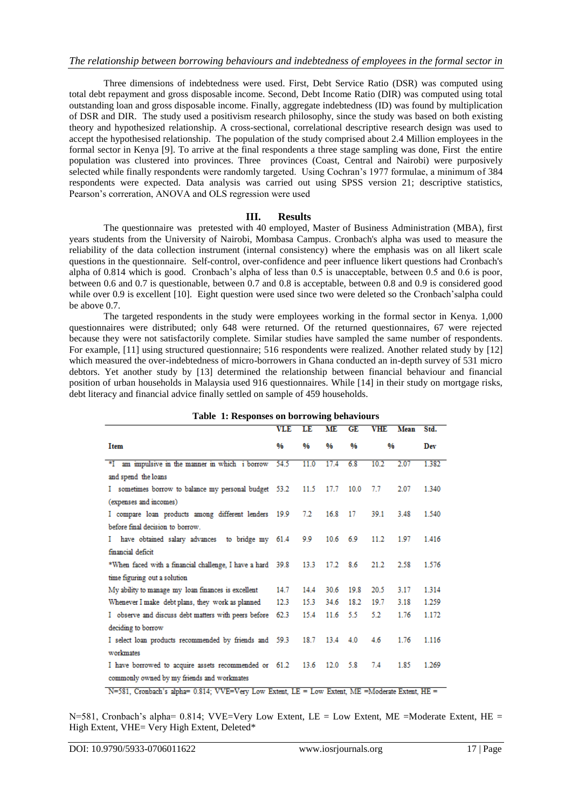Three dimensions of indebtedness were used. First, Debt Service Ratio (DSR) was computed using total debt repayment and gross disposable income. Second, Debt Income Ratio (DIR) was computed using total outstanding loan and gross disposable income. Finally, aggregate indebtedness (ID) was found by multiplication of DSR and DIR. The study used a positivism research philosophy, since the study was based on both existing theory and hypothesized relationship. A cross-sectional, correlational descriptive research design was used to accept the hypothesised relationship. The population of the study comprised about 2.4 Million employees in the formal sector in Kenya [9]. To arrive at the final respondents a three stage sampling was done, First the entire population was clustered into provinces. Three provinces (Coast, Central and Nairobi) were purposively selected while finally respondents were randomly targeted. Using Cochran's 1977 formulae, a minimum of 384 respondents were expected. Data analysis was carried out using SPSS version 21; descriptive statistics, Pearson's correration, ANOVA and OLS regression were used

#### **III. Results**

The questionnaire was pretested with 40 employed, Master of Business Administration (MBA), first years students from the University of Nairobi, Mombasa Campus. Cronbach's alpha was used to measure the reliability of the data collection instrument (internal consistency) where the emphasis was on all likert scale questions in the questionnaire. Self-control, over-confidence and peer influence likert questions had Cronbach's alpha of 0.814 which is good. Cronbach's alpha of less than 0.5 is unacceptable, between 0.5 and 0.6 is poor, between 0.6 and 0.7 is questionable, between 0.7 and 0.8 is acceptable, between 0.8 and 0.9 is considered good while over 0.9 is excellent [10]. Eight question were used since two were deleted so the Cronbach'salpha could be above 0.7.

The targeted respondents in the study were employees working in the formal sector in Kenya. 1,000 questionnaires were distributed; only 648 were returned. Of the returned questionnaires, 67 were rejected because they were not satisfactorily complete. Similar studies have sampled the same number of respondents. For example, [11] using structured questionnaire; 516 respondents were realized. Another related study by [12] which measured the over-indebtedness of micro-borrowers in Ghana conducted an in-depth survey of 531 micro debtors. Yet another study by [13] determined the relationship between financial behaviour and financial position of urban households in Malaysia used 916 questionnaires. While [14] in their study on mortgage risks, debt literacy and financial advice finally settled on sample of 459 households.

| Table 1. Responses on borrowing behaviours                 |            |      |            |               |            |      |       |
|------------------------------------------------------------|------------|------|------------|---------------|------------|------|-------|
|                                                            | <b>VLE</b> | LE   | <b>ME</b>  | GE            | <b>VHE</b> | Mean | Std.  |
| Item                                                       | %          | 0⁄6  | 0⁄6        | $\frac{0}{6}$ | %          |      | Dev   |
|                                                            |            |      |            |               |            |      |       |
| *I am impulsive in the manner in which i borrow            | 54.5       | 11.0 | 17.4       | 6.8           | 10.2       | 2.07 | 1.382 |
| and spend the loans                                        |            |      |            |               |            |      |       |
| I sometimes borrow to balance my personal budget 53.2      |            |      | 11.5 17.7  | 10.0          | 7.7        | 2.07 | 1.340 |
| (expenses and incomes)                                     |            |      |            |               |            |      |       |
| I compare loan products among different lenders 19.9       |            | 7.2  | 16.8       | 17            | 39.1       | 3.48 | 1.540 |
| before final decision to borrow                            |            |      |            |               |            |      |       |
| have obtained salary advances to bridge my 61.4<br>L       |            | 9.9  | $10.6$ 6.9 |               | 11.2       | 1.97 | 1.416 |
| financial deficit                                          |            |      |            |               |            |      |       |
| *When faced with a financial challenge, I have a hard 39.8 |            | 13.3 | 17.2       | 8.6           | 21.2       | 2.58 | 1.576 |
| time figuring out a solution                               |            |      |            |               |            |      |       |
| My ability to manage my loan finances is excellent         | 14.7       | 14.4 | 30.6       | 19.8          | 20.5       | 3.17 | 1314  |
| Whenever I make debt plans, they work as planned           | 12.3       | 15.3 | 34.6       | 18.2          | 19.7       | 3.18 | 1.259 |
| I observe and discuss debt matters with peers before       | 62.3       | 15.4 | 11.6       | 5.5           | 5.2        | 1.76 | 1.172 |
| deciding to borrow                                         |            |      |            |               |            |      |       |
| I select loan products recommended by friends and 59.3     |            | 18.7 | $13.4$ 4.0 |               | 4.6        | 1.76 | 1.116 |
| workmates                                                  |            |      |            |               |            |      |       |
| I have borrowed to acquire assets recommended or 61.2      |            | 13.6 | 12.0       | 5.8           | 7.4        | 1.85 | 1.269 |
| commonly owned by my friends and workmates                 |            |      |            |               |            |      |       |

| Table 1: Responses on borrowing behaviours |  |
|--------------------------------------------|--|
|--------------------------------------------|--|

N=581, Cronbach's alpha= 0.814; VVE=Very Low Extent, LE = Low Extent, ME = Moderate Extent, HE =

 $N=581$ , Cronbach's alpha= 0.814; VVE=Very Low Extent, LE = Low Extent, ME = Moderate Extent, HE = High Extent, VHE= Very High Extent, Deleted\*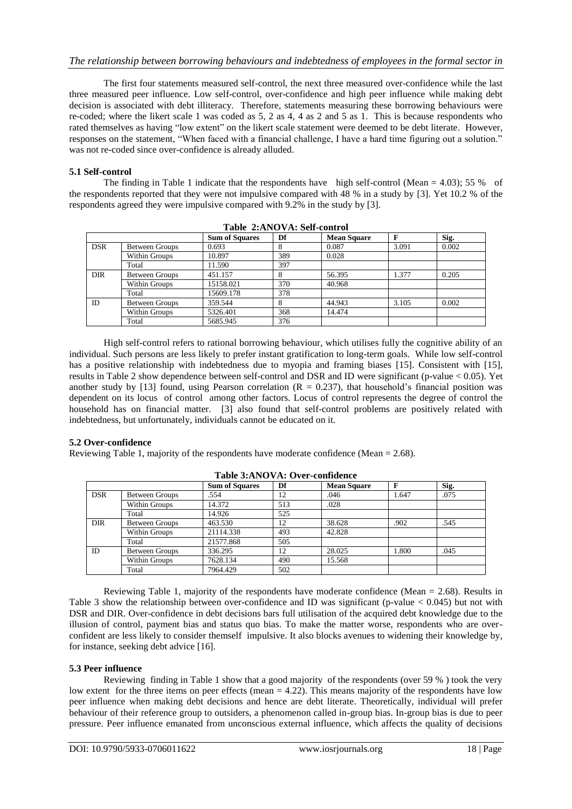The first four statements measured self-control, the next three measured over-confidence while the last three measured peer influence. Low self-control, over-confidence and high peer influence while making debt decision is associated with debt illiteracy. Therefore, statements measuring these borrowing behaviours were re-coded; where the likert scale 1 was coded as 5, 2 as 4, 4 as 2 and 5 as 1. This is because respondents who rated themselves as having "low extent" on the likert scale statement were deemed to be debt literate. However, responses on the statement, "When faced with a financial challenge, I have a hard time figuring out a solution." was not re-coded since over-confidence is already alluded.

### **5.1 Self-control**

The finding in Table 1 indicate that the respondents have high self-control (Mean = 4.03); 55 % of the respondents reported that they were not impulsive compared with 48 % in a study by [3]. Yet 10.2 % of the respondents agreed they were impulsive compared with 9.2% in the study by [3].

|            |                       | <b>Sum of Squares</b> | Df  | <b>Mean Square</b> | F     | Sig.  |
|------------|-----------------------|-----------------------|-----|--------------------|-------|-------|
| <b>DSR</b> | Between Groups        | 0.693                 | 8   | 0.087              | 3.091 | 0.002 |
|            | Within Groups         | 10.897                | 389 | 0.028              |       |       |
|            | Total                 | 11.590                | 397 |                    |       |       |
| <b>DIR</b> | <b>Between Groups</b> | 451.157               | 8   | 56.395             | 1.377 | 0.205 |
|            | Within Groups         | 15158.021             | 370 | 40.968             |       |       |
|            | Total                 | 15609.178             | 378 |                    |       |       |
| ID         | <b>Between Groups</b> | 359.544               | 8   | 44.943             | 3.105 | 0.002 |
|            | Within Groups         | 5326.401              | 368 | 14.474             |       |       |
|            | Total                 | 5685.945              | 376 |                    |       |       |

**Table 2:ANOVA: Self-control**

High self-control refers to rational borrowing behaviour, which utilises fully the cognitive ability of an individual. Such persons are less likely to prefer instant gratification to long-term goals. While low self-control has a positive relationship with indebtedness due to myopia and framing biases [15]. Consistent with [15], results in Table 2 show dependence between self-control and DSR and ID were significant (p-value < 0.05). Yet another study by [13] found, using Pearson correlation ( $R = 0.237$ ), that household's financial position was dependent on its locus of control among other factors. Locus of control represents the degree of control the household has on financial matter. [3] also found that self-control problems are positively related with indebtedness, but unfortunately, individuals cannot be educated on it.

#### **5.2 Over-confidence**

Reviewing Table 1, majority of the respondents have moderate confidence (Mean = 2.68).

|            |                       | <b>Sum of Squares</b> | Df  | <b>Mean Square</b> | F     | Sig. |
|------------|-----------------------|-----------------------|-----|--------------------|-------|------|
| <b>DSR</b> | Between Groups        | .554                  | 12  | .046               | 1.647 | .075 |
|            | Within Groups         | 14.372                | 513 | .028               |       |      |
|            | Total                 | 14.926                | 525 |                    |       |      |
| <b>DIR</b> | <b>Between Groups</b> | 463.530               | 12  | 38.628             | .902  | .545 |
|            | Within Groups         | 21114.338             | 493 | 42.828             |       |      |
|            | Total                 | 21577.868             | 505 |                    |       |      |
| ID         | <b>Between Groups</b> | 336.295               | 12  | 28.025             | 1.800 | .045 |
|            | <b>Within Groups</b>  | 7628.134              | 490 | 15.568             |       |      |
|            | Total                 | 7964.429              | 502 |                    |       |      |

#### **Table 3:ANOVA: Over-confidence**

Reviewing Table 1, majority of the respondents have moderate confidence (Mean = 2.68). Results in Table 3 show the relationship between over-confidence and ID was significant (p-value  $< 0.045$ ) but not with DSR and DIR. Over-confidence in debt decisions bars full utilisation of the acquired debt knowledge due to the illusion of control, payment bias and status quo bias. To make the matter worse, respondents who are overconfident are less likely to consider themself impulsive. It also blocks avenues to widening their knowledge by, for instance, seeking debt advice [16].

#### **5.3 Peer influence**

Reviewing finding in Table 1 show that a good majority of the respondents (over 59 % ) took the very low extent for the three items on peer effects (mean  $= 4.22$ ). This means majority of the respondents have low peer influence when making debt decisions and hence are debt literate. Theoretically, individual will prefer behaviour of their reference group to outsiders, a phenomenon called in-group bias. In-group bias is due to peer pressure. Peer influence emanated from unconscious external influence, which affects the quality of decisions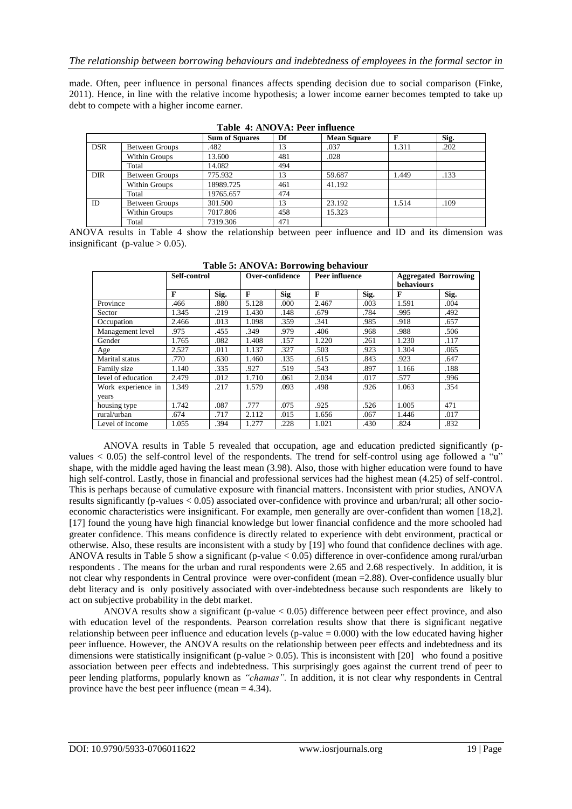made. Often, peer influence in personal finances affects spending decision due to social comparison (Finke, 2011). Hence, in line with the relative income hypothesis; a lower income earner becomes tempted to take up debt to compete with a higher income earner.

|            |                       | 1 WHIP 11 11 1 V 1 1 1 1 VVI IIII WAILLY<br><b>Sum of Squares</b> | Df  | <b>Mean Square</b> | F     | Sig. |
|------------|-----------------------|-------------------------------------------------------------------|-----|--------------------|-------|------|
| <b>DSR</b> | Between Groups        | .482                                                              | 13  | .037               | 1.311 | .202 |
|            | Within Groups         | 13.600                                                            | 481 | .028               |       |      |
|            | Total                 | 14.082                                                            | 494 |                    |       |      |
| <b>DIR</b> | Between Groups        | 775.932                                                           | 13  | 59.687             | 1.449 | .133 |
|            | Within Groups         | 18989.725                                                         | 461 | 41.192             |       |      |
|            | Total                 | 19765.657                                                         | 474 |                    |       |      |
| ID         | <b>Between Groups</b> | 301.500                                                           | 13  | 23.192             | 1.514 | .109 |
|            | Within Groups         | 7017.806                                                          | 458 | 15.323             |       |      |
|            | Total                 | 7319.306                                                          | 471 |                    |       |      |

**Table 4: ANOVA: Peer influence**

ANOVA results in Table 4 show the relationship between peer influence and ID and its dimension was insignificant (p-value  $> 0.05$ ).

|                    | Self-control |      |       | Over-confidence |       | <b>Peer influence</b> | <b>Aggregated Borrowing</b><br>behaviours |      |  |
|--------------------|--------------|------|-------|-----------------|-------|-----------------------|-------------------------------------------|------|--|
|                    | F            | Sig. | F     | Sig             | F     | Sig.                  | F                                         | Sig. |  |
| Province           | .466         | .880 | 5.128 | .000            | 2.467 | .003                  | 1.591                                     | .004 |  |
| Sector             | 1.345        | .219 | 1.430 | .148            | .679  | .784                  | .995                                      | .492 |  |
| Occupation         | 2.466        | .013 | 1.098 | .359            | .341  | .985                  | .918                                      | .657 |  |
| Management level   | .975         | .455 | .349  | .979            | .406  | .968                  | .988                                      | .506 |  |
| Gender             | 1.765        | .082 | 1.408 | .157            | 1.220 | .261                  | 1.230                                     | .117 |  |
| Age                | 2.527        | .011 | 1.137 | .327            | .503  | .923                  | 1.304                                     | .065 |  |
| Marital status     | .770         | .630 | 1.460 | .135            | .615  | .843                  | .923                                      | .647 |  |
| Family size        | 1.140        | .335 | .927  | .519            | .543  | .897                  | 1.166                                     | .188 |  |
| level of education | 2.479        | .012 | 1.710 | .061            | 2.034 | .017                  | .577                                      | .996 |  |
| Work experience in | 1.349        | .217 | 1.579 | .093            | .498  | .926                  | 1.063                                     | .354 |  |
| vears              |              |      |       |                 |       |                       |                                           |      |  |
| housing type       | 1.742        | .087 | .777  | .075            | .925  | .526                  | 1.005                                     | 471  |  |
| rural/urban        | .674         | .717 | 2.112 | .015            | 1.656 | .067                  | 1.446                                     | .017 |  |
| Level of income    | 1.055        | .394 | 1.277 | .228            | 1.021 | .430                  | .824                                      | .832 |  |

**Table 5: ANOVA: Borrowing behaviour**

ANOVA results in Table 5 revealed that occupation, age and education predicted significantly (pvalues < 0.05) the self-control level of the respondents. The trend for self-control using age followed a "u" shape, with the middle aged having the least mean (3.98). Also, those with higher education were found to have high self-control. Lastly, those in financial and professional services had the highest mean (4.25) of self-control. This is perhaps because of cumulative exposure with financial matters. Inconsistent with prior studies, ANOVA results significantly (p-values < 0.05) associated over-confidence with province and urban/rural; all other socioeconomic characteristics were insignificant. For example, men generally are over-confident than women [18,2]. [17] found the young have high financial knowledge but lower financial confidence and the more schooled had greater confidence. This means confidence is directly related to experience with debt environment, practical or otherwise. Also, these results are inconsistent with a study by [19] who found that confidence declines with age. ANOVA results in Table 5 show a significant (p-value  $\lt$  0.05) difference in over-confidence among rural/urban respondents . The means for the urban and rural respondents were 2.65 and 2.68 respectively. In addition, it is not clear why respondents in Central province were over-confident (mean =2.88). Over-confidence usually blur debt literacy and is only positively associated with over-indebtedness because such respondents are likely to act on subjective probability in the debt market.

ANOVA results show a significant (p-value < 0.05) difference between peer effect province, and also with education level of the respondents. Pearson correlation results show that there is significant negative relationship between peer influence and education levels (p-value  $= 0.000$ ) with the low educated having higher peer influence. However, the ANOVA results on the relationship between peer effects and indebtedness and its dimensions were statistically insignificant (p-value  $> 0.05$ ). This is inconsistent with [20] who found a positive association between peer effects and indebtedness. This surprisingly goes against the current trend of peer to peer lending platforms, popularly known as *"chamas".* In addition, it is not clear why respondents in Central province have the best peer influence (mean = 4.34).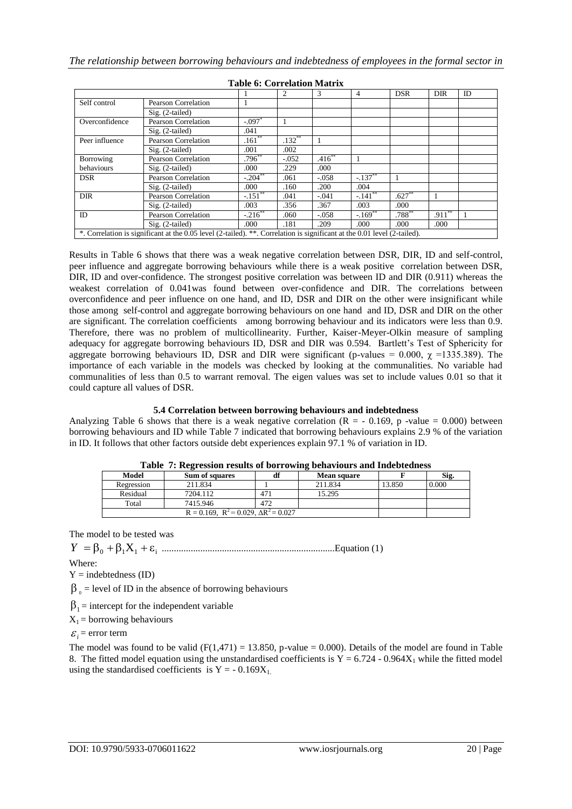|                |                                                                                                                          |            | $\mathfrak{D}$ | 3           | 4                     | <b>DSR</b> | DIR      | ID |
|----------------|--------------------------------------------------------------------------------------------------------------------------|------------|----------------|-------------|-----------------------|------------|----------|----|
| Self control   | Pearson Correlation                                                                                                      |            |                |             |                       |            |          |    |
|                | $Sig. (2-tailed)$                                                                                                        |            |                |             |                       |            |          |    |
| Overconfidence | Pearson Correlation                                                                                                      | $-.097*$   |                |             |                       |            |          |    |
|                | $Sig. (2-tailed)$                                                                                                        | .041       |                |             |                       |            |          |    |
| Peer influence | <b>Pearson Correlation</b>                                                                                               | $.161**$   | $.132***$      |             |                       |            |          |    |
|                | $Sig. (2-tailed)$                                                                                                        | .001       | .002           |             |                       |            |          |    |
| Borrowing      | Pearson Correlation                                                                                                      | $.796**$   | $-.052$        | $.416^{**}$ |                       |            |          |    |
| behaviours     | $Sig. (2-tailed)$                                                                                                        | .000       | .229           | .000        |                       |            |          |    |
| <b>DSR</b>     | Pearson Correlation                                                                                                      | $-.204$ ** | .061           | $-.058$     | $-.137$ <sup>**</sup> |            |          |    |
|                | $Sig. (2-tailed)$                                                                                                        | .000       | .160           | .200        | .004                  |            |          |    |
| <b>DIR</b>     | Pearson Correlation                                                                                                      | $-.151***$ | .041           | $-.041$     | $-.141***$            | $.627**$   |          |    |
|                | $Sig. (2-tailed)$                                                                                                        | .003       | .356           | .367        | .003                  | .000       |          |    |
| ID             | Pearson Correlation                                                                                                      | $-.216$ ** | .060           | $-.058$     | $-.169$ <sup>**</sup> | $.788***$  | $.911**$ |    |
|                | $Sig. (2-tailed)$                                                                                                        | .000       | .181           | .209        | .000.                 | .000       | .000     |    |
|                | *. Correlation is significant at the 0.05 level (2-tailed). **. Correlation is significant at the 0.01 level (2-tailed). |            |                |             |                       |            |          |    |

**Table 6: Correlation Matrix**

Results in Table 6 shows that there was a weak negative correlation between DSR, DIR, ID and self-control, peer influence and aggregate borrowing behaviours while there is a weak positive correlation between DSR, DIR, ID and over-confidence. The strongest positive correlation was between ID and DIR (0.911) whereas the weakest correlation of 0.041was found between over-confidence and DIR. The correlations between overconfidence and peer influence on one hand, and ID, DSR and DIR on the other were insignificant while those among self-control and aggregate borrowing behaviours on one hand and ID, DSR and DIR on the other are significant. The correlation coefficients among borrowing behaviour and its indicators were less than 0.9. Therefore, there was no problem of multicollinearity. Further, Kaiser-Meyer-Olkin measure of sampling adequacy for aggregate borrowing behaviours ID, DSR and DIR was 0.594. Bartlett's Test of Sphericity for aggregate borrowing behaviours ID, DSR and DIR were significant (p-values = 0.000,  $\chi$  =1335.389). The importance of each variable in the models was checked by looking at the communalities. No variable had communalities of less than 0.5 to warrant removal. The eigen values was set to include values 0.01 so that it could capture all values of DSR.

#### **5.4 Correlation between borrowing behaviours and indebtedness**

Analyzing Table 6 shows that there is a weak negative correlation  $(R = -0.169, p -value = 0.000)$  between borrowing behaviours and ID while Table 7 indicated that borrowing behaviours explains 2.9 % of the variation in ID. It follows that other factors outside debt experiences explain 97.1 % of variation in ID.

|            |                                                    | Tuble 77 Incredit results of bollowing being hours and indebtedness |                    |        |       |  |  |  |  |  |  |  |
|------------|----------------------------------------------------|---------------------------------------------------------------------|--------------------|--------|-------|--|--|--|--|--|--|--|
| Model      | <b>Sum of squares</b>                              |                                                                     | <b>Mean square</b> |        | Sig.  |  |  |  |  |  |  |  |
| Regression | 211.834                                            |                                                                     | 211.834            | 13.850 | 0.000 |  |  |  |  |  |  |  |
| Residual   | 7204.112                                           |                                                                     | 15.295             |        |       |  |  |  |  |  |  |  |
| Total      | 7415.946                                           | 472                                                                 |                    |        |       |  |  |  |  |  |  |  |
|            | $R = 0.169$ , $R^2 = 0.029$ , $\Delta R^2 = 0.027$ |                                                                     |                    |        |       |  |  |  |  |  |  |  |

**Table 7: Regression results of borrowing behaviours and Indebtedness**

The model to be tested was

<sup>0</sup> <sup>1</sup>X<sup>1</sup> <sup>i</sup> *Y* ........................................................................Equation (1)

Where:

 $Y =$  indebtedness (ID)

 $\beta_0$  = level of ID in the absence of borrowing behaviours

 $\beta_1$  = intercept for the independent variable

 $X_1$  = borrowing behaviours

 $\mathcal{E}_i$  = error term

The model was found to be valid  $(F(1.471) = 13.850$ , p-value = 0.000). Details of the model are found in Table 8. The fitted model equation using the unstandardised coefficients is  $Y = 6.724 - 0.964X_1$  while the fitted model using the standardised coefficients is  $Y = -0.169X_1$ .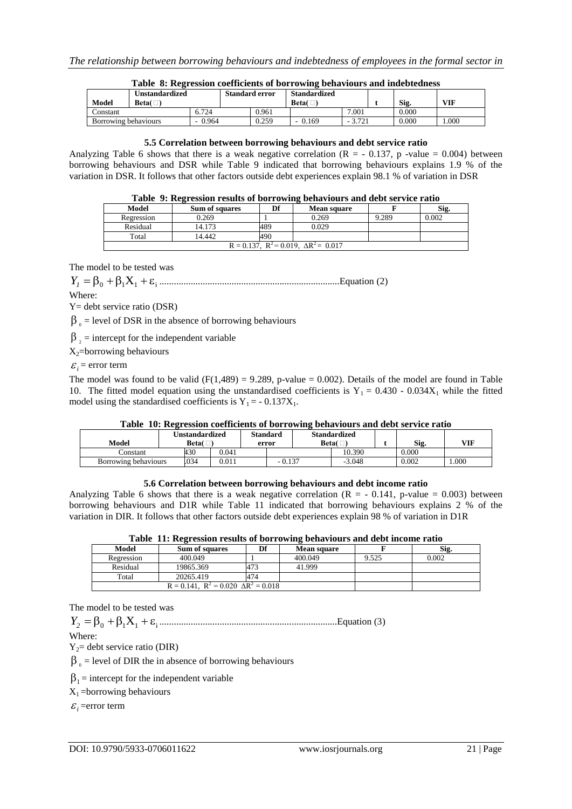|                      | Table 5: Regression coefficients of portowing behaviours and indebtedness |          |                       |       |                     |          |  |       |            |  |  |
|----------------------|---------------------------------------------------------------------------|----------|-----------------------|-------|---------------------|----------|--|-------|------------|--|--|
|                      | Unstandardized                                                            |          | <b>Standard error</b> |       | <b>Standardized</b> |          |  |       |            |  |  |
| Model                | Beta $(\Box)$                                                             |          |                       |       | Beta $(\Box)$       |          |  | Sig.  | <b>VIF</b> |  |  |
| Constant             |                                                                           | 6.724    |                       | 0.961 |                     | 7.001    |  | 0.000 |            |  |  |
| Borrowing behaviours |                                                                           | $-0.964$ |                       | 0.259 | 0.169               | $-3.721$ |  | 0.000 | .000       |  |  |

## **Table 8: Regression coefficients of borrowing behaviours and indebtedness**

#### **5.5 Correlation between borrowing behaviours and debt service ratio**

Analyzing Table 6 shows that there is a weak negative correlation ( $R = -0.137$ , p -value = 0.004) between borrowing behaviours and DSR while Table 9 indicated that borrowing behaviours explains 1.9 % of the variation in DSR. It follows that other factors outside debt experiences explain 98.1 % of variation in DSR

| Table 9: Regression results of borrowing behaviours and debt service ratio |  |  |  |  |  |  |  |  |
|----------------------------------------------------------------------------|--|--|--|--|--|--|--|--|
|----------------------------------------------------------------------------|--|--|--|--|--|--|--|--|

|                                    | -<br>-                                             |    |                    |       |       |  |  |  |  |  |  |
|------------------------------------|----------------------------------------------------|----|--------------------|-------|-------|--|--|--|--|--|--|
| <b>Model</b>                       | <b>Sum of squares</b>                              | Df | <b>Mean square</b> |       | Sig.  |  |  |  |  |  |  |
| Regression                         | 0.269                                              |    | 0.269              | 9.289 | 0.002 |  |  |  |  |  |  |
| 0.029<br>14.173<br>Residual<br>489 |                                                    |    |                    |       |       |  |  |  |  |  |  |
| Total                              | 14.442<br>490                                      |    |                    |       |       |  |  |  |  |  |  |
|                                    | $R = 0.137$ , $R^2 = 0.019$ , $\Delta R^2 = 0.017$ |    |                    |       |       |  |  |  |  |  |  |

The model to be tested was

<sup>0</sup> <sup>1</sup>X<sup>1</sup> <sup>i</sup> *Y<sup>1</sup>* ...........................................................................Equation (2)

Where:

Y= debt service ratio (DSR)

 $\beta_0$  = level of DSR in the absence of borrowing behaviours

 $\beta_2$  = intercept for the independent variable

X2=borrowing behaviours

 $\mathcal{E}_i$  = error term

The model was found to be valid  $(F(1,489) = 9.289, p-value = 0.002)$ . Details of the model are found in Table 10. The fitted model equation using the unstandardised coefficients is  $Y_1 = 0.430 - 0.034X_1$  while the fitted model using the standardised coefficients is  $Y_1 = -0.137X_1$ .

## **Table 10: Regression coefficients of borrowing behaviours and debt service ratio**

| Model                | <b>Jnstandardized</b><br>Beta $(\Box)$ |       | <b>Standard</b><br>error |          | <b>Standardized</b><br>Beta $\Box$ |          | Sig.  | VIF  |
|----------------------|----------------------------------------|-------|--------------------------|----------|------------------------------------|----------|-------|------|
| Constant             | 430                                    | 0.041 |                          |          |                                    | 10.390   | 0.000 |      |
| Borrowing behaviours | .034                                   | 0.011 |                          | $-0.137$ |                                    | $-3.048$ | 0.002 | .000 |

#### **5.6 Correlation between borrowing behaviours and debt income ratio**

Analyzing Table 6 shows that there is a weak negative correlation ( $R = -0.141$ , p-value = 0.003) between borrowing behaviours and D1R while Table 11 indicated that borrowing behaviours explains 2 % of the variation in DIR. It follows that other factors outside debt experiences explain 98 % of variation in D1R

| Model      | <b>Sum of squares</b>                            | Df  | <b>Mean square</b> |       | Sig.  |
|------------|--------------------------------------------------|-----|--------------------|-------|-------|
| Regression | 400.049                                          |     | 400.049            | 9.525 | 0.002 |
| Residual   | 19865.369                                        | 473 | 41.999             |       |       |
| Total      | 20265.419                                        | 474 |                    |       |       |
|            | $R = 0.141$ , $R^2 = 0.020$ $\Delta R^2 = 0.018$ |     |                    |       |       |

The model to be tested was

<sup>0</sup> <sup>1</sup>X<sup>1</sup> <sup>i</sup> *Y<sup>2</sup>* ..........................................................................Equation (3)

Where:

 $Y_2$ = debt service ratio (DIR)

 $\beta_0$  = level of DIR the in absence of borrowing behaviours

 $\beta_1$  = intercept for the independent variable

 $X_1$  =borrowing behaviours

 $\varepsilon_i$ =error term